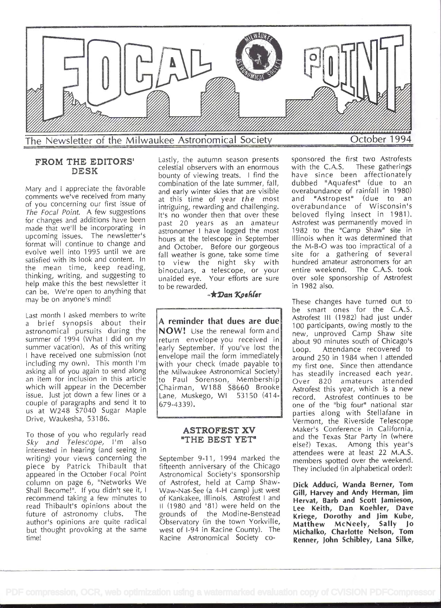

# FROM THE EDITORS' DESK

Mary and I appreciate the favorable comments we've received from many of you concerning our first issue of The Focal Point. A few suggestions for changes and additions have been made that we'll be incorporating in upcoming issues. The newsletter's format will continue to change and evolve well into 1995 until we are satisfied with its look and content. In the mean time, keep reading, thinking, writing, and suggesting to help make this the best newsletter it can be. We're open to anything that may be on anyone's mind!

Last month I asked members to write <sup>a</sup>brief synopsis about their astronomical pursuits during the summer of 1994 (What I did on my summer vacation). As of this writing I have received one submission (not including my own). This month I'm asking all of you again to send along an item for inclusion in this article which will appear in the December issue. just jot down a few lines or a couple of paragraphs and send it to us at W248 S7040 Sugar Maple Drive, Waukesha, 53186.

To those of you who regularly read Sky and Telescope, I'm also interested in hearing (and seeing in writing) your views concerning the piece by Patrick Thibault that appeared in the October Focal Point column on page 6, "Networks We Shall Become!". If you didn't see it, I recommend taking a few minutes to read Thibault's opinions about the future of astronomy clubs. The author's opinions are quite radical but thought provoking at the same time!

Lastly, the autumn season presents sponsored the ficelestial observers with an enormous with the C.A.S. celestial observers with an enormous bounty of viewing treats. I find the combination of the late summer, fall, and early winter skies that are visible at this time of year the most intriguing, rewarding and challenging. It's no wonder then that over these past 20 years as an amateur astronomer I have logged the most hours at the telescope in September and October. Before our gorgeous fall weather is gone, take some time to view the night sky with binoculars, a telescope, or your unaided eye. Your efforts are sure to be rewarded.

#### $-\bigstar$ Dan Koehler

A reminder that dues are due NOW! Use the renewal form and return envelope you received in early September. If you've lost the Loop. envelope mail the form immediately with your check (made payable to the Milwaukee Astronomical Society) to Paul Sorenson, Membership Chairman, W188 58660 Brooke Lane, Muskego, WI 53150 (414- 679-4339).

#### ASTROFEST XV "THE BEST YET"

September 9-11, 1994 marked the fifteenth anniversary of the Chicago Astronomical Society's sponsorship of Astrofest, held at Camp Shaw-Waw-Nas-See (a 4-H camp) just west of Kankakee, Illinois. Astrofest I and II (1980 and '81) were held on the grounds of the Modine-Benstead Observatory (in the town Yorkville, west of l-94 in Racine County). The Racine Astronomical Society cosponsored the first two Astrofests These gatherings have since been affectionately dubbed "Aquafest" (due to an overabundance of rainfall in 1980) and 'Astropest' (due to an overabundance of Wisconsin's beloved flying insect in 1981). Astrofest was permanently moved in 1982 to the "Camp Shaw" site in Illinois when it was determined that the M-B-O was too impractical of a site for a gathering of several hundred amateur astronomers for an entire weekend. The C.A.S. took over sole sponsorship of Astrofest in 1982 also.

These changes have turned out to be smart ones for the C.A.S. Astrofest III (1982) had just under <sup>1</sup>00 participants, owing mostly to the new, unproved Camp Shaw site about 90 minutes south of Chicago's Attendance recovered to around 250 in 1984 when I attended my first one. Since then attendance has steadily increased each year. Over 820 amateurs attended Astrofest this year, which is a new record. Astrofest continues to be one of the "big four" national star parties along with Stellafane in Vermont, the Riverside Telescope Maker's Conference in California, and the Texas Star Party in (where else?) Texas. Among this year's attendees were at least 22 M.A.S. members spotted over the weekend. They included (in alphabeticàl order):

Dick Adduci, Wanda Berner, Tom Gill, Harvey and Andy Herman, Jim Hervat, Barb and Scott Jamieson, Lee Keith, Dan Koehler, Dave Kriege, Dorothy and Jim Kube, Matthew McNeely, Sally Jo Michalko, Charlotte Nelson, Tom Renner, John Schibley, Lana Silke,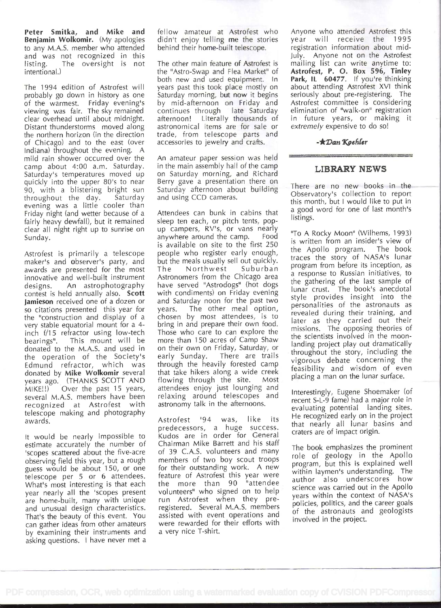Peter Smitka, and Mike and Benjamin Wolkomir. (My apologies to any M.A.S. member who attended and was not recognized in this listing. The oversight is not intentional.)

The 1994 edition of Astrofest will probably go down in history as one of the warmest. Friday evening's by viewing was fair. The sky remained clear overhead until about midnight. Distant thunderstorms moved along the northern horizon (in the direction of Chicago) and to the east (over Indiana) throughout the evening. A mild rain shower occurred over the camp about 4:00 a.m. Saturday. Saturday's temperatures moved up quickly into the upper 80's to near 90, with a blistering bright sun throughout the day. evening was a little cooler than Friday night (and wetter because of a fairly heavy dewfall), but it remained clear all night right up to sunrise on Sunday.

Astrofest is primarily a telescope maker's and observer's party, and but t<br>awards are presented for the most. The awards are presented for the most innovative and well-built instrument designs. An astrophotography contest is held annually also. Scott Jamieson received one of a dozen or so citations presented this year for years. the "construction and display of a very stable equatorial mount for a 4 inch f/15 refractor using low-tech bearings". This mount will be donated to the M.A.S. and used in the operation of the Society's Edmund refractor, which was donated by Mike Wolkomir several years ago. (THANKS SCOTT AND MIKE!!) Over the past 15 years, several M.A.S. members have been recognized at Astrofest with telescope making and photography awards.

lt would be nearly impossible to estimate accurately the number of 'scopes scattered about the five-acre observing field this year, but a rough guess would be about 150, or one telescope per 5 or 6 attendees. What's most interesting is that each year nearly all the 'scopes present are home-built, many with unique and unusual design characteristics. That's the beauty of this event. You can gather ideas from other amateurs by examining their instruments and asking questions. I have never met <sup>a</sup> fellow amateur at Astrofest who Anyor<br>didn't enjoy telling me the stories year didn't enjoy telling me the stories behind their home-built telescope.

The other main feature of Astrofest is the "Astro-Swap and Flea Market" of both new and used equipment. In years past this took place mostly on Saturday morning, but now it begins by mid-afternoon on Friday and continues through late Saturday afternoon! Literally thousands of astronomical items are for sale or trade, from telescope parts and accessories to jewelry and crafts.

An amateur paper session was held in the main assembly hall of the camp on Saturday morning, and Richard Berry gave a presentation there on Saturday afternoon about building and using CCD cameras.

Attendees can bunk in cabins that sleep ten each, or pitch tents, popup campers, RV's, or vans nearly<br>anywhere around the camp. Food anywhere around the camp. is available on site to the first 250 people who register early enough, but the meals usually sell out quickly. Northwest Suburban Astronomers from the Chicago area have served "Astrodogs" (hot dogs with condiments) on Friday evening and Saturday noon for the past two The other meal option, chosen by most attendees, is to bring in and prepare their own food. Those who care to can explore the more than 150 acres of Camp Shaw on their own on Friday, Saturday, or early Sunday. There are trails through the heavily forested camp that take hikers along a wide creek flowing through the site. Most attendees enjoy just lounging and relaxing around telescopes and astronomy talk in the afternoons.

Astrofest '94 was, like its predecessors, a huge success. Kudos are in order for General Chairman Mike Barrett and his staff of 39 C.A.S. volunteers and many members of two boy scout troops for their outstanding work. A new feature of Astrofest this year were the more than 90 "attendee volunteers" who signed on to help run Astrofest when they preregistered. Several M.A.S. members assisted with event operations and were rewarded for their efforts with a very nice T-shirt.

Anyone who attended Astrofest this will receive the 1995 registration information about mid-July. Anyone not on the Astrofest mailing list can write anytime to: Astrofest, P. 0. Box 596, Tinley Park, IL 60477. If you're thinking about attending Astrofest XVI think seriously about pre-registering. The Astrofest committee is considering elimination of "walk-on" registration in future years, or making it extremely expensive to do so!

#### $-\bigstar$ Dan Koehler

# LIBRARY NEWS

There are no new books in the Observatory's collection to report this month, but I would like to put in <sup>a</sup>good word for one of last month's listings.

"To A Rocky Moon" (Wilhems, 1993) is written from an insider's view of the Apollo program. The book traces the story of NASA's lunar program from before its inception, as <sup>a</sup>response to Russian initiatives, to the gathering of the last sample of lunar crust. The book's anecdotal style provides insight into the personalities of the astronauts as revealed during their training, and later as they carried out their missions. The opposing theories of the scientists involved in the moonlanding project play out dramatically throughout the story, including the vigorous debate concerning the feasibility and wisdom of even placing a man on the lunar surface.

Interestingly, Eugene Shoemaker (of recent S-L-9 fame) had a major role in evaluating potential landing sites. He recognized early on in the project that nearly all lunar basins and craters are of impact origin.

The book emphasizes the prominent role of geology in the Apollo program, but this is explained well within laymen's understanding. The author also underscores how science was carried out in the Apollo years within the context of NASA's policies, politics, and the career goals of the astronauts and geologists involved in the project.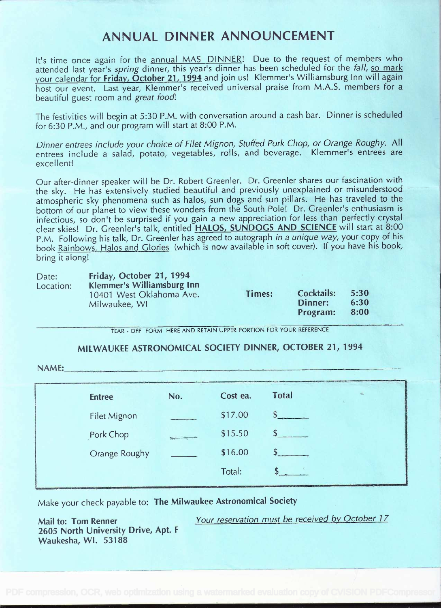# ANNUAL DINNER ANNOUNCEMENT

It's time once again for the annual MAS DINNER! Due to the request of members who attended last year's spring dinner, this year's dinner has been scheduled for the fall, so mark your calendar for Friday, October 21, 1994 and join us! Klemmer's Williamsburg Inn will again host our event. Last year, Klemmer's received universal praise from M.A.S. members for <sup>a</sup> beautiful guest room and great food!

The festivities will begin at 5:30 P.M. with conversation around a cash bar. Dinner is scheduled for 6:30 P.M., and our program will start at 8:00 P.M.

Dinner entrees include your choice of Filet Mignon, Stuffed Pork Chop, or Orange Roughy. All entrees include a salad, potato, vegetables, rolls, and beverage. Klemmer's entrees are excellent!

Our after-dinner speaker will be Dr. Robert Greenler. Dr. Greenler shares our fascination with the sky. He has extensively studied beautiful and previously unexplained or misunderstood atmospheric sky phenomena such as halos, sun dogs and sun pillars. He has traveled to the bottom of our planet to view these wonders from the South Pole! Dr. Greenler's enthusiasm is infectious, so don't be surprised if you gain a new appreciation for less than perfectly crystal clear skies! Dr. Greenler's talk, entitled HALOS, SUNDOGS AND SCIENCE will start at 8:00 P.M. Following his talk, Dr. Greenler has agreed to autograph in a unique way, your copy of his book Rainbows, Halos and Glories (which is now available in soft cover). If you have his book, bring it along!

| Date:     | Friday, October 21, 1994                                                |        |                                          |                      |  |
|-----------|-------------------------------------------------------------------------|--------|------------------------------------------|----------------------|--|
| Location: | Klemmer's Williamsburg Inn<br>10401 West Oklahoma Ave.<br>Milwaukee, WI | Times: | <b>Cocktails:</b><br>Dinner:<br>Program: | 5:30<br>6:30<br>8:00 |  |

TEAR - OFF FORM HERE AND RETAIN UPPER PORTION FOR YOUR REFERENCE

# MILWAUKEE ASTRONOMICAL SOCIETY DINNER, OCTOBER 21, 1994

NAME:

| <b>Entree</b>       | No.                                                     | Cost ea. | <b>Total</b> |
|---------------------|---------------------------------------------------------|----------|--------------|
| <b>Filet Mignon</b> |                                                         | \$17.00  |              |
| Pork Chop           | $\frac{65}{3200}$ = $\frac{15}{320}$ = $\frac{15}{320}$ | \$15.50  |              |
| Orange Roughy       |                                                         | \$16.00  |              |
|                     |                                                         | Total:   |              |

Make your check payable to: The Milwaukee Astronomical Society

Mail to: Tom Renner Your reservation must be received by October 17 2605 North University Drive, Apt. <sup>F</sup> Waukesha, WI. 53188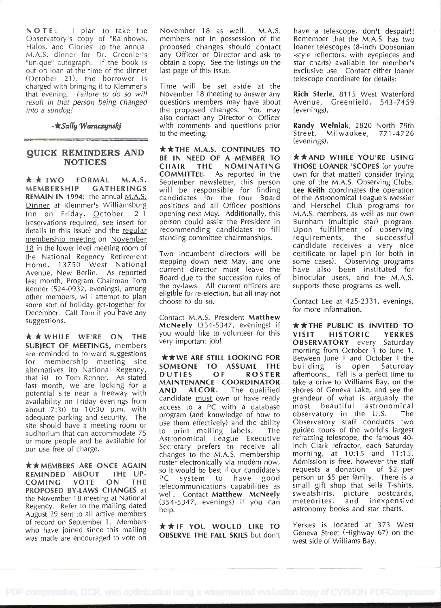NOTE: I plan to take the Observatory's copy of "Rainbows, Halos, and Glories" to the annual M.A.S. dinner for Dr. Greenler's "unique" autograph. If the book is out on loan at the time of the dinner (October 21), the borrower is charged with bringing it to Kiemmer's that evening. Failure to do so will result in that person being changed into a sundog!

 $\star$ Sally Waraczynski

#### QUICK REMINDERS AND **NOTICES**

**\* \* TWO FORMAL M.A.S.**<br>MEMBERSHIP GATHERINGS GATHERINGS REMAIN IN 1994: the annual M.A.S. Dinner at Klemmer's Williamsburg Inn on Friday, October 21 (reservations required, see insert for details in this issue) and the regular membership meeting on November 18 in the lower level meeting room of the National Regency Retirement Home, 13750 West National <sup>ste</sup> Avenue, New Berlin. As reported last month, Program Chairman Tom Renner (524-0932, evenings), among other members, will attempt to plan some sort of holiday get-together for December. Call Tom if you have any suggestions.

 $\star \star$  WHILE WE'RE ON THE SUBJECT OF MEETINGS, members are reminded to forward suggestions for membership meeting site alternatives (to National Regency, **SUMEUNI** that is) to Tom Renner. As stated last month, we are looking for a potential site near a freeway with **AND** availability on Friday evenings from about 7:30 to 10:30 p.m. with adequate parking and security. The site should have a meeting room or auditorium that can accommodate 75 or more people and be available for our use free of charge.

**\*\* MEMBERS ARE ONCE AGAIN** REMINDED ABOUT THE UP-COMING VOTE ON THE teles PROPOSED BY-LAWS CHANGES at the November 18 meeting at National Regency. Refer to the mailing dated August 29 sent to all active members of record on September 1. Members who have joined since this mailing was made are encouraged to vote on

November 18 as well. M.A.S. members not in possession of the proposed changes should contact any Officer or Director and ask to obtain a copy. See the listings on the last page of this issue.

Time will be set aside at the November 18 meeting to answer any questions members may have about the proposed changes. You may also contact any Director or Officer with comments and questions prior to the meeting.

\*\*THE M.A.S. CONTINUES TO BE IN NEED OF A MEMBER TO CHAIR THE NOMINATING COMMITTEE. As reported in the September newsletter, this person will be responsible for finding candidates for the four Board positions and all Officer positions opening next May. Additionally, this person could assist the President in recommending candidates to fill standing committee chairmanships.

Two incumbent directors will be stepping down next May, and one current director must leave the Board due to the succession rules of the by-laws. Ail current officers are eligible for re-election, but all may not choose to do so.

Contact M.A.S. President Matthew McNeely (354-5347, evenings) if you would like to volunteer for this **VISIT** very important job!

**\*\*WE ARE STILL LOOKING FOR** SOMEONE TO ASSUME THE building<br>DUTIES OF ROSTER afternoons. ROSTER MAINTENANCE COORDINATOR ALCOR. The qualified candidate **must** own or have ready access to a PC with a database program (and knowledge of how to use them effectively) and the ability to print mailing labels. The Astronomical League Executive Secretary prefers to receive all changes to the M.A.S. membership roster electronically via modem now, so it would be best if our candidate's<br>PC system to have good system to have telecommunications capabilities as well. Contact Matthew McNeely (354-5347, evenings) if you can help.

\*\*IF YOU WOULD LIKE TO OBSERVE THE FALL SKIES but don't have a telescope, don't despair!! Remember that the M.A.S. has two loaner telescopes (8-inch Dobsonian -style reflectors, with eyepieces and star charts) available for member's exclusive use. Contact either loaner telescope coordinate for details:

Rich Sterle, 8115 West Waterford Avenue, Greenfield, 543-7459 (evenings).

Randy Welniak, 2820 North 79th Street, Milwaukee, 771-4726 (evenings).

\*\*AND WHILE YOU'RE USING THOSE LOANER 'SCOPES (or you're own for that matter) consider trying one of the M.A.S. Observing Clubs. Lee Keith coordinates the operation of the Astronomical League's Messier and Herschel Club programs for M.A.S. members, as well as our own Burnham (multiple star) program. Upon fulfillment of observing requirements, the successful candidate receives a very nice certificate or lapel pin (or both in some cases). Observing programs have also been instituted for binocular users, and the M.A.S. supports these programs as well.

Contact Lee at 425-2331, evenings, for more information.

\*\*THE PUBLIC IS INVITED TO HISTORIC YERKES OBSERVATORY every Saturday morning from October 1 to June 1. Between June 1 and October 1 the is open Saturday afterhoons.. Fall is a perfect time to take a drive to Williams Bay, on the shores of Geneva Lake, and see the grandeur of what is arguably the most beautiful astronomical observatory in the U.S. The Observatory staff conducts two guided tours of the world's largest refracting telescope, the famous 40 inch Clark refractor, each Saturday morning, at 10:15 and 11:15. Admission is free, however the staff requests a donation of \$2 per person or \$5 per family. There is a small gift shop that sells T-shirts, sweatshirts, picture postcards, meteorites, and inexpensive astronomy books and star charts.

Yerkes is located at 373 West Geneva Street (Highway 67) on the west side of Williams Bay.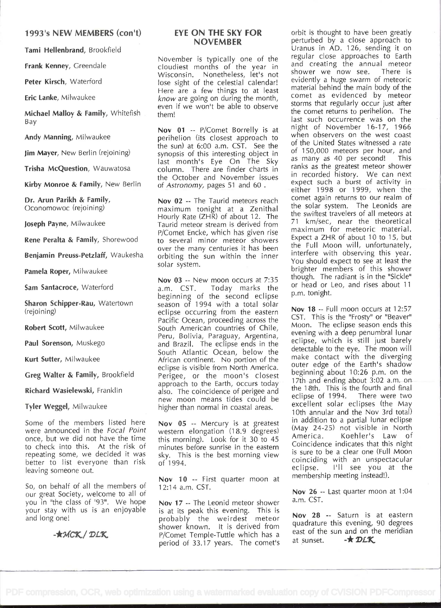# 1993's NEW MEMBERS (con't)

Tami Hellenbrand, Brookfield

Frank Kenney, Greendale

Peter Kirsch, Waterford

Eric Ianke, Milwaukee

Michael Malloy & Family, Whitefish <sup>B</sup>ay

Andy Manning, Milwaukee

Jim Mayer, New Berlin (rejoining)

Trisha McQuestion, Wauwatosa

Kirby Monroe & Family, New Berlin

Dr. Arun Parikh & Family, Oconomowoc (rejoining)

Joseph Payne, Milwaukee

Rene Peralta & Family, Shorewood

Benjamin Preuss-Petzlaff, Waukesha

Pamela Roper, Milwaukee

Sam Santacroce, Waterford

Sharon Schipper-Rau, Watertown (rejoining)

Robert Scott, Milwaukee

Paul Sorenson, Muskego

Kurt Sutter, Milwaukee

Greg Walter & Family, Brookfield

Richard Wasielewski, Franklin

Tyler Weggel, Milwaukee

Some of the members listed here were announced in the Focal Point once, but we did not have the time to check into this. At the risk of repeating some, we decided it was better to list everyone than risk leaving someone out.

So, on behalf of all the members of our great Society, welcome to all of you in "the class of '93'. We hope your stay with us is an enjoyable and long one!

-**\*MCK/DLK** 

# EYE ON THE SKY FOR NOVEMBER

November is typically one of the cloudiest months of the year in Wisconsin. Nonetheless, let's not lose sight of the celestial calendar! Here are a few things to at least know are going on during the month, even if we won't be able to observe them!

Nov 01 -- P/Comet Borrelly is at perihelion (its closest approach to the sun) at 6:00 a.m. CST. See the synopsis of this interesting object in  $\frac{0}{2}$ last month's Eye On The Sky column. There are finder charts in the October and November issues of Astronomy, pages 51 and 60

Nov 02 -- The Taurid meteors reach maximum tonight at a Zenithal Hourly Rate (ZHR) of about 12. The Taurid meteor stream is derived from P/Comet Encke, which has given rise to several minor meteor showers over the many centuries it has been orbiting the sun within the inner solar system.

Nov 03 -- New moon occurs at 7:35<br>a.m. CST. Today marks the Today marks the beginning of the second eclipse Fill season of 1994 with a total solar eclipse occurring from the eastern Pacific Ocean, proceeding across the South American countries of Chile, Peru, Bolivia, Paraguay, Argentina, and Brazil. The eclipse ends in the South Atlantic Ocean, below the African continent. No portion of the eclipse is visible from North America. Perigee, or the moon's closest approach to the Earth, occurs today also. The coincidence of perigee and new moon means tides could be higher than normal in coastal areas.

Nov 05 -- Mercury is at greatest western elongation (18.9 degrees)  $^{(May 24-4)}$ <br>this merginal look for it 20 to 4E America. this morning). Look for it 30 to 45 minutes before sunrise in the eastern sky. This is the best morning view of 1994.

Nov 10 -- First quarter moon at 12:14 a.m. CST.

Nov 17 -- The Leonid meteor shower s at its peak this evening. This is probably the weirdest meteor  $\frac{NQ}{N}$ shower known. It is derived from que P/Comet Temple-Tuttle which has a period of 33.17 years. The comet's at sunset.

orbit is thought to have been greatly perturbed by a close approach to Uranus in AD. 126, sending it on regular close approaches to Earth and creating the annual meteor shower we now see. There is evidently a huge swarm of meteoric material behind the main body of the comet as evidenced by meteor storms that regularly occur just after the comet returns to perihelion. The last such occurrence was on the night of November 16-17, 1966 when observers on the west coast of the United States witnessed a rate of 150,000 meteors per hour, and as many as 40 per second! This ranks as the greatest meteor shower in recorded history. We can next expect such a burst of activity in either 1998 or 1999, when the comet again returns to our realm of the solar system. The Leonids are the swiftest travelers of all meteors at <sup>71</sup>km/sec, near the theoretical maximum for meteoric material. Expect a ZHR of about 10 to 15, but the Full Moon will, unfortunately, interfere with observing this year. You should expect to see at least the brighter members of this shower though. The radiant is in the "Sickle" or head or Leo, and rises about 11 p.m. tonight.

Nov 18 -- Full moon occurs at 12:57 CST. This is the "Frosty" or "Beaver" Moon. The eclipse season ends this evening with a deep penumbral lunar eclipse, which is still just barely detectable to the eye. The moon will make contact with the diverging outer edge of the Earth's shadow beginning about 10:26 p.m. on the 17th and ending about 3:02 a.m. on the 18th. This is the fourth and final<br>eclipse of 1994. There were two eclipse of 1994. excellent solar eclipses (the May 10th annular and the Nov 3rd total) in addition to a partial lunar eclipse (May 24-25) not visible in North Koehler's Law of Coincidence indicates that this night is sure to be a clear one (Full Moon coinciding with an unspectacular eclipse. I'll see you at the membership meeting instead!).

Nov 26 -- Last quarter moon at 1:04 a.m. CST.

Nov 28 -- Saturn is at eastern quadrature this evening, 90 degrees east of the sun and on the meridian  $-\star$  DLK.